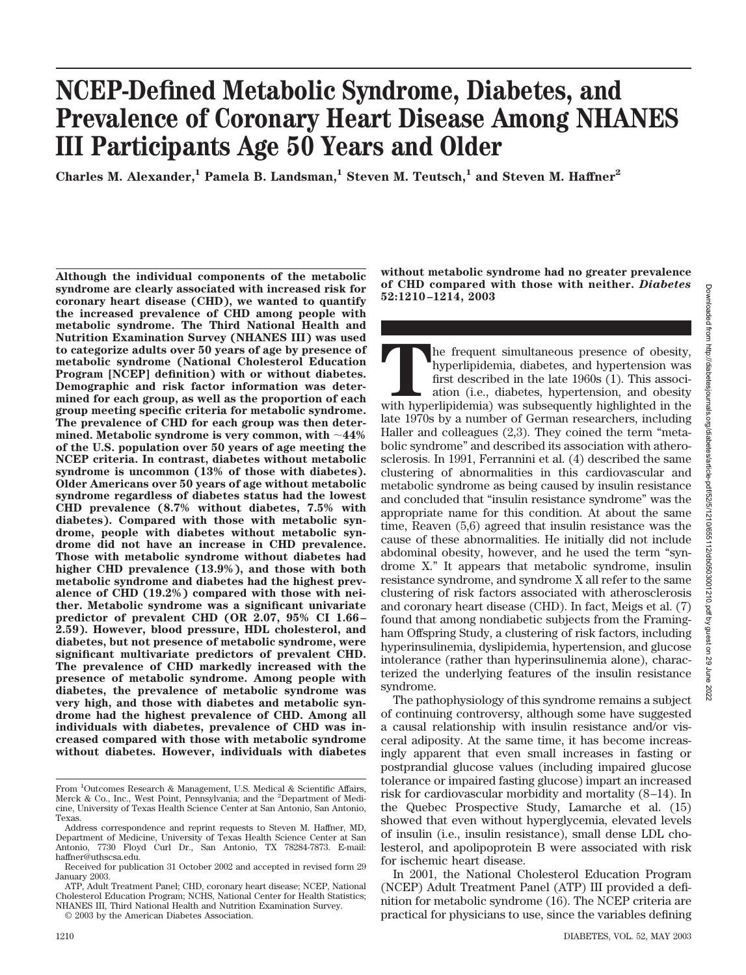# **NCEP-Defined Metabolic Syndrome, Diabetes, and Prevalence of Coronary Heart Disease Among NHANES III Participants Age 50 Years and Older**

Charles M. Alexander,<sup>1</sup> Pamela B. Landsman,<sup>1</sup> Steven M. Teutsch,<sup>1</sup> and Steven M. Haffner<sup>2</sup>

**Although the individual components of the metabolic syndrome are clearly associated with increased risk for coronary heart disease (CHD), we wanted to quantify the increased prevalence of CHD among people with metabolic syndrome. The Third National Health and Nutrition Examination Survey (NHANES III) was used to categorize adults over 50 years of age by presence of metabolic syndrome (National Cholesterol Education Program [NCEP] definition) with or without diabetes. Demographic and risk factor information was determined for each group, as well as the proportion of each group meeting specific criteria for metabolic syndrome. The prevalence of CHD for each group was then determined. Metabolic syndrome is very common, with 44% of the U.S. population over 50 years of age meeting the NCEP criteria. In contrast, diabetes without metabolic syndrome is uncommon (13% of those with diabetes). Older Americans over 50 years of age without metabolic syndrome regardless of diabetes status had the lowest CHD prevalence (8.7% without diabetes, 7.5% with diabetes). Compared with those with metabolic syndrome, people with diabetes without metabolic syndrome did not have an increase in CHD prevalence. Those with metabolic syndrome without diabetes had higher CHD prevalence (13.9%), and those with both metabolic syndrome and diabetes had the highest prevalence of CHD (19.2%) compared with those with neither. Metabolic syndrome was a significant univariate predictor of prevalent CHD (OR 2.07, 95% CI 1.66– 2.59). However, blood pressure, HDL cholesterol, and diabetes, but not presence of metabolic syndrome, were significant multivariate predictors of prevalent CHD. The prevalence of CHD markedly increased with the presence of metabolic syndrome. Among people with diabetes, the prevalence of metabolic syndrome was very high, and those with diabetes and metabolic syndrome had the highest prevalence of CHD. Among all individuals with diabetes, prevalence of CHD was increased compared with those with metabolic syndrome without diabetes. However, individuals with diabetes**

**without metabolic syndrome had no greater prevalence of CHD compared with those with neither.** *Diabetes* **52:1210–1214, 2003**

The frequent simultaneous presence of obesity, hyperlipidemia, diabetes, and hypertension was first described in the late 1960s (1). This association (i.e., diabetes, hypertension, and obesity with hyperlipidemia) was subs hyperlipidemia, diabetes, and hypertension was first described in the late 1960s (1). This association (i.e., diabetes, hypertension, and obesity late 1970s by a number of German researchers, including Haller and colleagues (2,3). They coined the term "metabolic syndrome" and described its association with atherosclerosis. In 1991, Ferrannini et al. (4) described the same clustering of abnormalities in this cardiovascular and metabolic syndrome as being caused by insulin resistance and concluded that "insulin resistance syndrome" was the appropriate name for this condition. At about the same time, Reaven (5,6) agreed that insulin resistance was the cause of these abnormalities. He initially did not include abdominal obesity, however, and he used the term "syndrome X." It appears that metabolic syndrome, insulin resistance syndrome, and syndrome X all refer to the same clustering of risk factors associated with atherosclerosis and coronary heart disease (CHD). In fact, Meigs et al. (7) found that among nondiabetic subjects from the Framingham Offspring Study, a clustering of risk factors, including hyperinsulinemia, dyslipidemia, hypertension, and glucose intolerance (rather than hyperinsulinemia alone), characterized the underlying features of the insulin resistance syndrome.

The pathophysiology of this syndrome remains a subject of continuing controversy, although some have suggested a causal relationship with insulin resistance and/or visceral adiposity. At the same time, it has become increasingly apparent that even small increases in fasting or postprandial glucose values (including impaired glucose tolerance or impaired fasting glucose) impart an increased risk for cardiovascular morbidity and mortality (8–14). In the Quebec Prospective Study, Lamarche et al. (15) showed that even without hyperglycemia, elevated levels of insulin (i.e., insulin resistance), small dense LDL cholesterol, and apolipoprotein B were associated with risk for ischemic heart disease.

In 2001, the National Cholesterol Education Program (NCEP) Adult Treatment Panel (ATP) III provided a definition for metabolic syndrome (16). The NCEP criteria are practical for physicians to use, since the variables defining

From <sup>1</sup>Outcomes Research & Management, U.S. Medical & Scientific Affairs, Merck & Co., Inc., West Point, Pennsylvania; and the <sup>2</sup>Department of Medicine, University of Texas Health Science Center at San Antonio, San Antonio, Texas.

Address correspondence and reprint requests to Steven M. Haffner, MD, Department of Medicine, University of Texas Health Science Center at San Antonio, 7730 Floyd Curl Dr., San Antonio, TX 78284-7873. E-mail: haffner@uthscsa.edu.

Received for publication 31 October 2002 and accepted in revised form 29 January 2003.

ATP, Adult Treatment Panel; CHD, coronary heart disease; NCEP, National Cholesterol Education Program; NCHS, National Center for Health Statistics; NHANES III, Third National Health and Nutrition Examination Survey.

<sup>© 2003</sup> by the American Diabetes Association.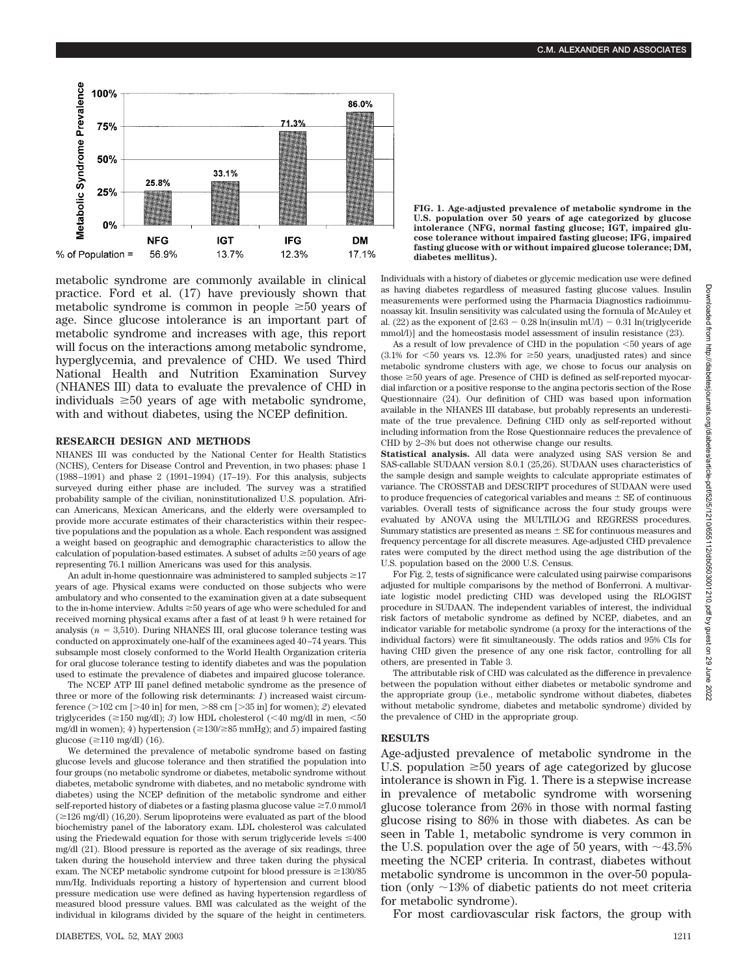

metabolic syndrome are commonly available in clinical practice. Ford et al. (17) have previously shown that metabolic syndrome is common in people  $\geq 50$  years of age. Since glucose intolerance is an important part of metabolic syndrome and increases with age, this report will focus on the interactions among metabolic syndrome, hyperglycemia, and prevalence of CHD. We used Third National Health and Nutrition Examination Survey (NHANES III) data to evaluate the prevalence of CHD in individuals  $\geq 50$  years of age with metabolic syndrome, with and without diabetes, using the NCEP definition.

## **RESEARCH DESIGN AND METHODS**

NHANES III was conducted by the National Center for Health Statistics (NCHS), Centers for Disease Control and Prevention, in two phases: phase 1 (1988–1991) and phase 2 (1991–1994) (17–19). For this analysis, subjects surveyed during either phase are included. The survey was a stratified probability sample of the civilian, noninstitutionalized U.S. population. African Americans, Mexican Americans, and the elderly were oversampled to provide more accurate estimates of their characteristics within their respective populations and the population as a whole. Each respondent was assigned a weight based on geographic and demographic characteristics to allow the calculation of population-based estimates. A subset of adults  $\geq 50$  years of age representing 76.1 million Americans was used for this analysis.

An adult in-home questionnaire was administered to sampled subjects  $\geq$ 17 years of age. Physical exams were conducted on those subjects who were ambulatory and who consented to the examination given at a date subsequent to the in-home interview. Adults  $\geq 50$  years of age who were scheduled for and received morning physical exams after a fast of at least 9 h were retained for analysis  $(n = 3,510)$ . During NHANES III, oral glucose tolerance testing was conducted on approximately one-half of the examinees aged 40–74 years. This subsample most closely conformed to the World Health Organization criteria for oral glucose tolerance testing to identify diabetes and was the population used to estimate the prevalence of diabetes and impaired glucose tolerance.

The NCEP ATP III panel defined metabolic syndrome as the presence of three or more of the following risk determinants: *1*) increased waist circumference  $(>102 \text{ cm } |>40 \text{ in}]$  for men,  $>88 \text{ cm } |>35 \text{ in}]$  for women);  $\phi$  elevated triglycerides ( $\geq$ 150 mg/dl); *3*) low HDL cholesterol (<40 mg/dl in men, <50 mg/dl in women); 4) hypertension ( $\geq$ 130/ $\geq$ 85 mmHg); and 5) impaired fasting glucose ( $\geq$ 110 mg/dl) (16).

We determined the prevalence of metabolic syndrome based on fasting glucose levels and glucose tolerance and then stratified the population into four groups (no metabolic syndrome or diabetes, metabolic syndrome without diabetes, metabolic syndrome with diabetes, and no metabolic syndrome with diabetes) using the NCEP definition of the metabolic syndrome and either self-reported history of diabetes or a fasting plasma glucose value  $\geq 7.0$  mmol/l  $(\geq 126 \text{ mg/dl})$  (16,20). Serum lipoproteins were evaluated as part of the blood biochemistry panel of the laboratory exam. LDL cholesterol was calculated using the Friedewald equation for those with serum triglyceride levels  $\leq 400$ mg/dl (21). Blood pressure is reported as the average of six readings, three taken during the household interview and three taken during the physical exam. The NCEP metabolic syndrome cutpoint for blood pressure is  $\geq$ 130/85 mm/Hg. Individuals reporting a history of hypertension and current blood pressure medication use were defined as having hypertension regardless of measured blood pressure values. BMI was calculated as the weight of the individual in kilograms divided by the square of the height in centimeters. **FIG. 1. Age-adjusted prevalence of metabolic syndrome in the U.S. population over 50 years of age categorized by glucose intolerance (NFG, normal fasting glucose; IGT, impaired glucose tolerance without impaired fasting glucose; IFG, impaired fasting glucose with or without impaired glucose tolerance; DM, diabetes mellitus).**

Individuals with a history of diabetes or glycemic medication use were defined as having diabetes regardless of measured fasting glucose values. Insulin measurements were performed using the Pharmacia Diagnostics radioimmunoassay kit. Insulin sensitivity was calculated using the formula of McAuley et al. (22) as the exponent of  $[2.63 - 0.28 \ln(\text{insulin mU/l}) - 0.31 \ln(\text{triglyceride})]$ mmol/l)] and the homeostasis model assessment of insulin resistance (23).

As a result of low prevalence of CHD in the population  $<$ 50 years of age  $(3.1\%$  for  $\leq 50$  years vs. 12.3% for  $\geq 50$  years, unadjusted rates) and since metabolic syndrome clusters with age, we chose to focus our analysis on those  $\geq$ 50 years of age. Presence of CHD is defined as self-reported myocardial infarction or a positive response to the angina pectoris section of the Rose Questionnaire (24). Our definition of CHD was based upon information available in the NHANES III database, but probably represents an underestimate of the true prevalence. Defining CHD only as self-reported without including information from the Rose Questionnaire reduces the prevalence of CHD by 2–3% but does not otherwise change our results.

**Statistical analysis.** All data were analyzed using SAS version 8e and SAS-callable SUDAAN version 8.0.1 (25,26). SUDAAN uses characteristics of the sample design and sample weights to calculate appropriate estimates of variance. The CROSSTAB and DESCRIPT procedures of SUDAAN were used to produce frequencies of categorical variables and means  $\pm$  SE of continuous variables. Overall tests of significance across the four study groups were evaluated by ANOVA using the MULTILOG and REGRESS procedures. Summary statistics are presented as means  $\pm$  SE for continuous measures and frequency percentage for all discrete measures. Age-adjusted CHD prevalence rates were computed by the direct method using the age distribution of the U.S. population based on the 2000 U.S. Census.

For Fig. 2, tests of significance were calculated using pairwise comparisons adjusted for multiple comparisons by the method of Bonferroni. A multivariate logistic model predicting CHD was developed using the RLOGIST procedure in SUDAAN. The independent variables of interest, the individual risk factors of metabolic syndrome as defined by NCEP, diabetes, and an indicator variable for metabolic syndrome (a proxy for the interactions of the individual factors) were fit simultaneously. The odds ratios and 95% CIs for having CHD given the presence of any one risk factor, controlling for all others, are presented in Table 3.

The attributable risk of CHD was calculated as the difference in prevalence between the population without either diabetes or metabolic syndrome and the appropriate group (i.e., metabolic syndrome without diabetes, diabetes without metabolic syndrome, diabetes and metabolic syndrome) divided by the prevalence of CHD in the appropriate group.

#### **RESULTS**

Age-adjusted prevalence of metabolic syndrome in the U.S. population  $\geq 50$  years of age categorized by glucose intolerance is shown in Fig. 1. There is a stepwise increase in prevalence of metabolic syndrome with worsening glucose tolerance from 26% in those with normal fasting glucose rising to 86% in those with diabetes. As can be seen in Table 1, metabolic syndrome is very common in the U.S. population over the age of 50 years, with  $\sim$  43.5% meeting the NCEP criteria. In contrast, diabetes without metabolic syndrome is uncommon in the over-50 population (only  $\sim$ 13% of diabetic patients do not meet criteria for metabolic syndrome).

For most cardiovascular risk factors, the group with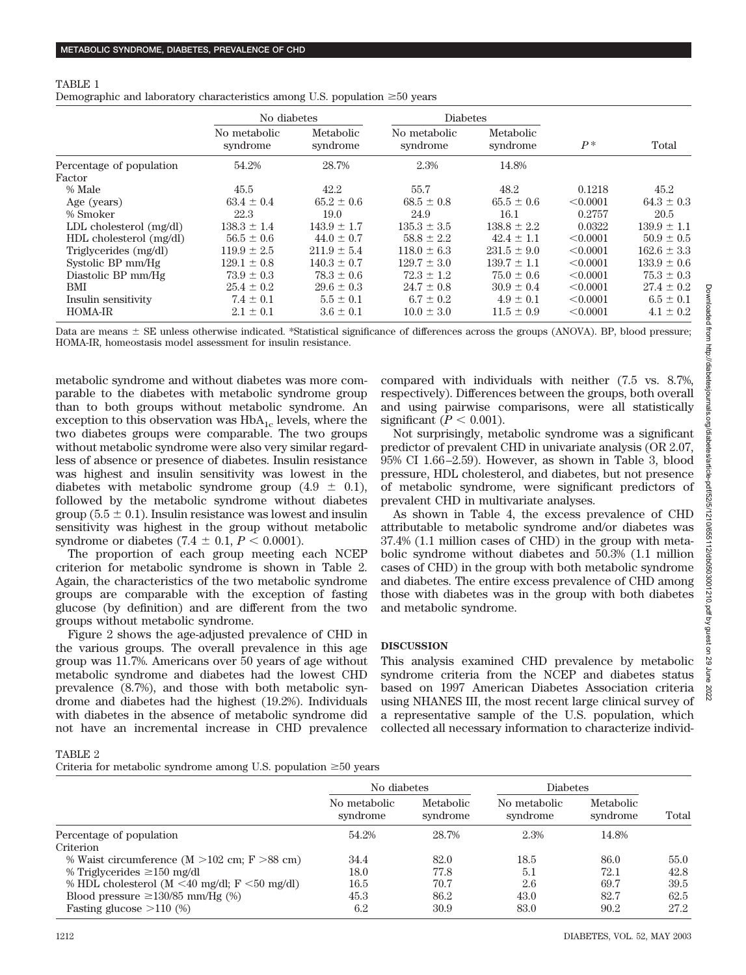## TABLE 1

Demographic and laboratory characteristics among U.S. population  $\geq 50$  years

|                           | No diabetes              |                       | <b>Diabetes</b>          |                       |          |                 |
|---------------------------|--------------------------|-----------------------|--------------------------|-----------------------|----------|-----------------|
|                           | No metabolic<br>syndrome | Metabolic<br>syndrome | No metabolic<br>syndrome | Metabolic<br>syndrome | $P*$     | Total           |
| Percentage of population  | 54.2%                    | 28.7%                 | 2.3%                     | 14.8%                 |          |                 |
| Factor                    |                          |                       |                          |                       |          |                 |
| % Male                    | 45.5                     | 42.2                  | 55.7                     | 48.2                  | 0.1218   | 45.2            |
| Age (years)               | $63.4 \pm 0.4$           | $65.2 \pm 0.6$        | $68.5 \pm 0.8$           | $65.5 \pm 0.6$        | < 0.0001 | $64.3 \pm 0.3$  |
| % Smoker                  | 22.3                     | 19.0                  | 24.9                     | 16.1                  | 0.2757   | 20.5            |
| LDL cholesterol $(mg/dl)$ | $138.3 \pm 1.4$          | $143.9 \pm 1.7$       | $135.3 \pm 3.5$          | $138.8 \pm 2.2$       | 0.0322   | $139.9 \pm 1.1$ |
| HDL cholesterol (mg/dl)   | $56.5 \pm 0.6$           | $44.0 \pm 0.7$        | $58.8 \pm 2.2$           | $42.4 \pm 1.1$        | < 0.0001 | $50.9 \pm 0.5$  |
| Triglycerides (mg/dl)     | $119.9 \pm 2.5$          | $211.9 \pm 5.4$       | $118.0 \pm 6.3$          | $231.5 \pm 9.0$       | < 0.0001 | $162.6 \pm 3.3$ |
| Systolic BP mm/Hg         | $129.1 \pm 0.8$          | $140.3 \pm 0.7$       | $129.7 \pm 3.0$          | $139.7 \pm 1.1$       | < 0.0001 | $133.9 \pm 0.6$ |
| Diastolic BP mm/Hg        | $73.9 \pm 0.3$           | $78.3 \pm 0.6$        | $72.3 \pm 1.2$           | $75.0 \pm 0.6$        | < 0.0001 | $75.3 \pm 0.3$  |
| BMI                       | $25.4 \pm 0.2$           | $29.6 \pm 0.3$        | $24.7 \pm 0.8$           | $30.9 \pm 0.4$        | < 0.0001 | $27.4 \pm 0.2$  |
| Insulin sensitivity       | $7.4 \pm 0.1$            | $5.5 \pm 0.1$         | $6.7 \pm 0.2$            | $4.9 \pm 0.1$         | < 0.0001 | $6.5 \pm 0.1$   |
| <b>HOMA-IR</b>            | $2.1 \pm 0.1$            | $3.6 \pm 0.1$         | $10.0 \pm 3.0$           | $11.5 \pm 0.9$        | < 0.0001 | $4.1 \pm 0.2$   |

Data are means  $\pm$  SE unless otherwise indicated. \*Statistical significance of differences across the groups (ANOVA). BP, blood pressure; HOMA-IR, homeostasis model assessment for insulin resistance.

metabolic syndrome and without diabetes was more comparable to the diabetes with metabolic syndrome group than to both groups without metabolic syndrome. An exception to this observation was  $HbA_{1c}$  levels, where the two diabetes groups were comparable. The two groups without metabolic syndrome were also very similar regardless of absence or presence of diabetes. Insulin resistance was highest and insulin sensitivity was lowest in the diabetes with metabolic syndrome group  $(4.9 \pm 0.1)$ , followed by the metabolic syndrome without diabetes group ( $5.5 \pm 0.1$ ). Insulin resistance was lowest and insulin sensitivity was highest in the group without metabolic syndrome or diabetes  $(7.4 \pm 0.1, P \le 0.0001)$ .

The proportion of each group meeting each NCEP criterion for metabolic syndrome is shown in Table 2. Again, the characteristics of the two metabolic syndrome groups are comparable with the exception of fasting glucose (by definition) and are different from the two groups without metabolic syndrome.

Figure 2 shows the age-adjusted prevalence of CHD in the various groups. The overall prevalence in this age group was 11.7%. Americans over 50 years of age without metabolic syndrome and diabetes had the lowest CHD prevalence (8.7%), and those with both metabolic syndrome and diabetes had the highest (19.2%). Individuals with diabetes in the absence of metabolic syndrome did not have an incremental increase in CHD prevalence compared with individuals with neither (7.5 vs. 8.7%, respectively). Differences between the groups, both overall and using pairwise comparisons, were all statistically significant ( $P < 0.001$ ).

Not surprisingly, metabolic syndrome was a significant predictor of prevalent CHD in univariate analysis (OR 2.07, 95% CI 1.66–2.59). However, as shown in Table 3, blood pressure, HDL cholesterol, and diabetes, but not presence of metabolic syndrome, were significant predictors of prevalent CHD in multivariate analyses.

As shown in Table 4, the excess prevalence of CHD attributable to metabolic syndrome and/or diabetes was 37.4% (1.1 million cases of CHD) in the group with metabolic syndrome without diabetes and 50.3% (1.1 million cases of CHD) in the group with both metabolic syndrome and diabetes. The entire excess prevalence of CHD among those with diabetes was in the group with both diabetes and metabolic syndrome.

# **DISCUSSION**

This analysis examined CHD prevalence by metabolic syndrome criteria from the NCEP and diabetes status based on 1997 American Diabetes Association criteria using NHANES III, the most recent large clinical survey of a representative sample of the U.S. population, which collected all necessary information to characterize individ-

TABLE 2

|  |  |  | Criteria for metabolic syndrome among U.S. population $\geq 50$ years |  |
|--|--|--|-----------------------------------------------------------------------|--|
|  |  |  |                                                                       |  |

|                                                     | No diabetes              |                       | <b>Diabetes</b>          |                       |       |
|-----------------------------------------------------|--------------------------|-----------------------|--------------------------|-----------------------|-------|
|                                                     | No metabolic<br>syndrome | Metabolic<br>syndrome | No metabolic<br>syndrome | Metabolic<br>syndrome | Total |
| Percentage of population                            | 54.2%                    | 28.7%                 | 2.3%                     | 14.8%                 |       |
| Criterion                                           |                          |                       |                          |                       |       |
| % Waist circumference ( $M > 102$ cm; $F > 88$ cm)  | 34.4                     | 82.0                  | 18.5                     | 86.0                  | 55.0  |
| % Triglycerides $\geq 150$ mg/dl                    | 18.0                     | 77.8                  | 5.1                      | 72.1                  | 42.8  |
| % HDL cholesterol ( $M < 40$ mg/dl; $F < 50$ mg/dl) | 16.5                     | 70.7                  | 2.6                      | 69.7                  | 39.5  |
| Blood pressure $\geq$ 130/85 mm/Hg (%)              | 45.3                     | 86.2                  | 43.0                     | 82.7                  | 62.5  |
| Fasting glucose $>110$ (%)                          | 6.2                      | 30.9                  | 83.0                     | 90.2                  | 27.2  |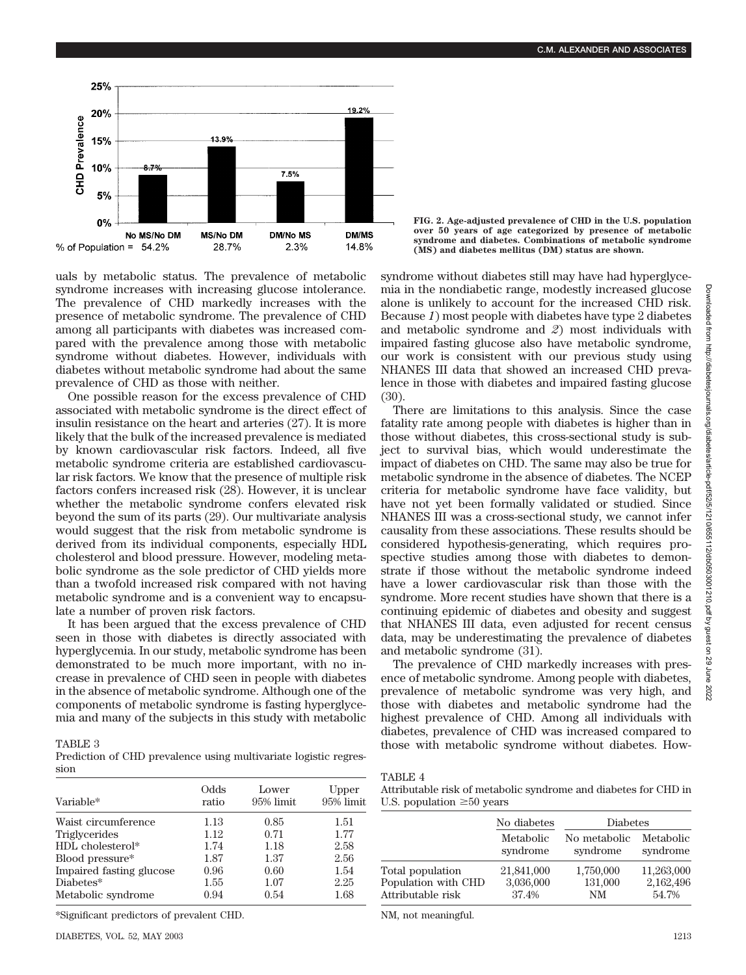

uals by metabolic status. The prevalence of metabolic syndrome increases with increasing glucose intolerance. The prevalence of CHD markedly increases with the presence of metabolic syndrome. The prevalence of CHD among all participants with diabetes was increased compared with the prevalence among those with metabolic syndrome without diabetes. However, individuals with diabetes without metabolic syndrome had about the same prevalence of CHD as those with neither.

One possible reason for the excess prevalence of CHD associated with metabolic syndrome is the direct effect of insulin resistance on the heart and arteries (27). It is more likely that the bulk of the increased prevalence is mediated by known cardiovascular risk factors. Indeed, all five metabolic syndrome criteria are established cardiovascular risk factors. We know that the presence of multiple risk factors confers increased risk (28). However, it is unclear whether the metabolic syndrome confers elevated risk beyond the sum of its parts (29). Our multivariate analysis would suggest that the risk from metabolic syndrome is derived from its individual components, especially HDL cholesterol and blood pressure. However, modeling metabolic syndrome as the sole predictor of CHD yields more than a twofold increased risk compared with not having metabolic syndrome and is a convenient way to encapsulate a number of proven risk factors.

It has been argued that the excess prevalence of CHD seen in those with diabetes is directly associated with hyperglycemia. In our study, metabolic syndrome has been demonstrated to be much more important, with no increase in prevalence of CHD seen in people with diabetes in the absence of metabolic syndrome. Although one of the components of metabolic syndrome is fasting hyperglycemia and many of the subjects in this study with metabolic

TABLE 3

Prediction of CHD prevalence using multivariate logistic regression

| Variable*                | Odds<br>ratio | Lower<br>95% limit | Upper<br>95% limit |
|--------------------------|---------------|--------------------|--------------------|
| Waist circumference      | 1.13          | 0.85               | 1.51               |
| <b>Triglycerides</b>     | 1.12          | 0.71               | 1.77               |
| HDL cholesterol*         | 1.74          | 1.18               | 2.58               |
| Blood pressure*          | 1.87          | 1.37               | 2.56               |
| Impaired fasting glucose | 0.96          | 0.60               | 1.54               |
| Diabetes*                | 1.55          | 1.07               | 2.25               |
| Metabolic syndrome       | 0.94          | 0.54               | 1.68               |

\*Significant predictors of prevalent CHD.

**FIG. 2. Age-adjusted prevalence of CHD in the U.S. population over 50 years of age categorized by presence of metabolic syndrome and diabetes. Combinations of metabolic syndrome (MS) and diabetes mellitus (DM) status are shown.**

syndrome without diabetes still may have had hyperglycemia in the nondiabetic range, modestly increased glucose alone is unlikely to account for the increased CHD risk. Because *1*) most people with diabetes have type 2 diabetes and metabolic syndrome and *2*) most individuals with impaired fasting glucose also have metabolic syndrome, our work is consistent with our previous study using NHANES III data that showed an increased CHD prevalence in those with diabetes and impaired fasting glucose (30).

There are limitations to this analysis. Since the case fatality rate among people with diabetes is higher than in those without diabetes, this cross-sectional study is subject to survival bias, which would underestimate the impact of diabetes on CHD. The same may also be true for metabolic syndrome in the absence of diabetes. The NCEP criteria for metabolic syndrome have face validity, but have not yet been formally validated or studied. Since NHANES III was a cross-sectional study, we cannot infer causality from these associations. These results should be considered hypothesis-generating, which requires prospective studies among those with diabetes to demonstrate if those without the metabolic syndrome indeed have a lower cardiovascular risk than those with the syndrome. More recent studies have shown that there is a continuing epidemic of diabetes and obesity and suggest that NHANES III data, even adjusted for recent census data, may be underestimating the prevalence of diabetes and metabolic syndrome (31).

The prevalence of CHD markedly increases with presence of metabolic syndrome. Among people with diabetes, prevalence of metabolic syndrome was very high, and those with diabetes and metabolic syndrome had the highest prevalence of CHD. Among all individuals with diabetes, prevalence of CHD was increased compared to those with metabolic syndrome without diabetes. How-

### TABLE 4

| Attributable risk of metabolic syndrome and diabetes for CHD in |  |
|-----------------------------------------------------------------|--|
| U.S. population $\geq 50$ years                                 |  |

|                                                              | No diabetes<br>Metabolic<br>syndrome | <b>Diabetes</b>            |                                  |  |
|--------------------------------------------------------------|--------------------------------------|----------------------------|----------------------------------|--|
|                                                              |                                      | No metabolic<br>syndrome   | Metabolic<br>syndrome            |  |
| Total population<br>Population with CHD<br>Attributable risk | 21,841,000<br>3,036,000<br>37.4%     | 1,750,000<br>131,000<br>NM | 11,263,000<br>2,162,496<br>54.7% |  |

NM, not meaningful.